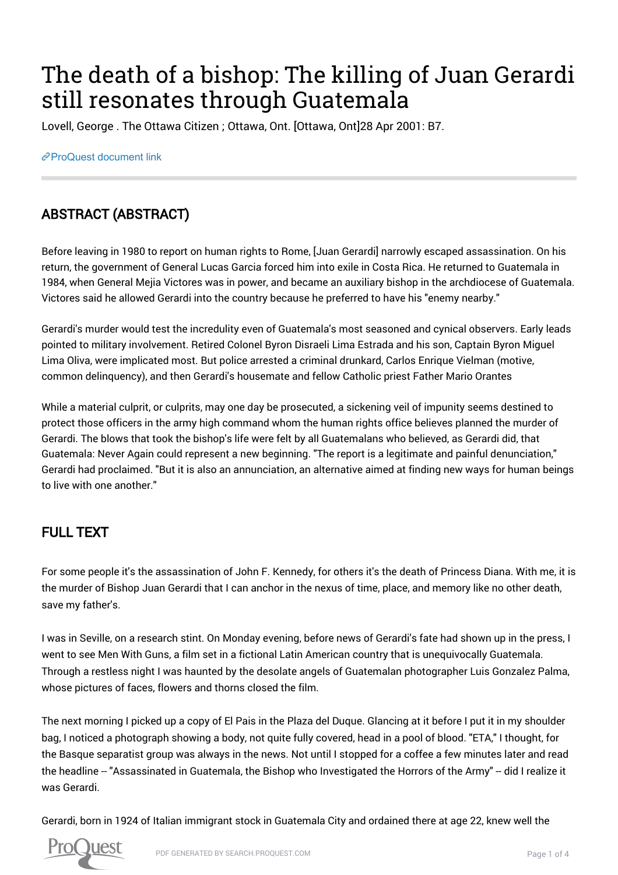# The death of a bishop: The killing of Juan Gerardi still resonates through Guatemala

Lovell, George . The Ottawa Citizen ; Ottawa, Ont. [Ottawa, Ont]28 Apr 2001: B7.

[ProQuest document link](https://proxy.queensu.ca/login?url=https://search.proquest.com/docview/240444083?accountid=6180)

# ABSTRACT (ABSTRACT)

Before leaving in 1980 to report on human rights to Rome, [Juan Gerardi] narrowly escaped assassination. On his return, the government of General Lucas Garcia forced him into exile in Costa Rica. He returned to Guatemala in 1984, when General Mejia Victores was in power, and became an auxiliary bishop in the archdiocese of Guatemala. Victores said he allowed Gerardi into the country because he preferred to have his "enemy nearby."

Gerardi's murder would test the incredulity even of Guatemala's most seasoned and cynical observers. Early leads pointed to military involvement. Retired Colonel Byron Disraeli Lima Estrada and his son, Captain Byron Miguel Lima Oliva, were implicated most. But police arrested a criminal drunkard, Carlos Enrique Vielman (motive, common delinquency), and then Gerardi's housemate and fellow Catholic priest Father Mario Orantes

While a material culprit, or culprits, may one day be prosecuted, a sickening veil of impunity seems destined to protect those officers in the army high command whom the human rights office believes planned the murder of Gerardi. The blows that took the bishop's life were felt by all Guatemalans who believed, as Gerardi did, that Guatemala: Never Again could represent a new beginning. "The report is a legitimate and painful denunciation," Gerardi had proclaimed. "But it is also an annunciation, an alternative aimed at finding new ways for human beings to live with one another."

## FULL TEXT

For some people it's the assassination of John F. Kennedy, for others it's the death of Princess Diana. With me, it is the murder of Bishop Juan Gerardi that I can anchor in the nexus of time, place, and memory like no other death, save my father's.

I was in Seville, on a research stint. On Monday evening, before news of Gerardi's fate had shown up in the press, I went to see Men With Guns, a film set in a fictional Latin American country that is unequivocally Guatemala. Through a restless night I was haunted by the desolate angels of Guatemalan photographer Luis Gonzalez Palma, whose pictures of faces, flowers and thorns closed the film.

The next morning I picked up a copy of El Pais in the Plaza del Duque. Glancing at it before I put it in my shoulder bag, I noticed a photograph showing a body, not quite fully covered, head in a pool of blood. "ETA," I thought, for the Basque separatist group was always in the news. Not until I stopped for a coffee a few minutes later and read the headline -- "Assassinated in Guatemala, the Bishop who Investigated the Horrors of the Army" -- did I realize it was Gerardi.

Gerardi, born in 1924 of Italian immigrant stock in Guatemala City and ordained there at age 22, knew well the

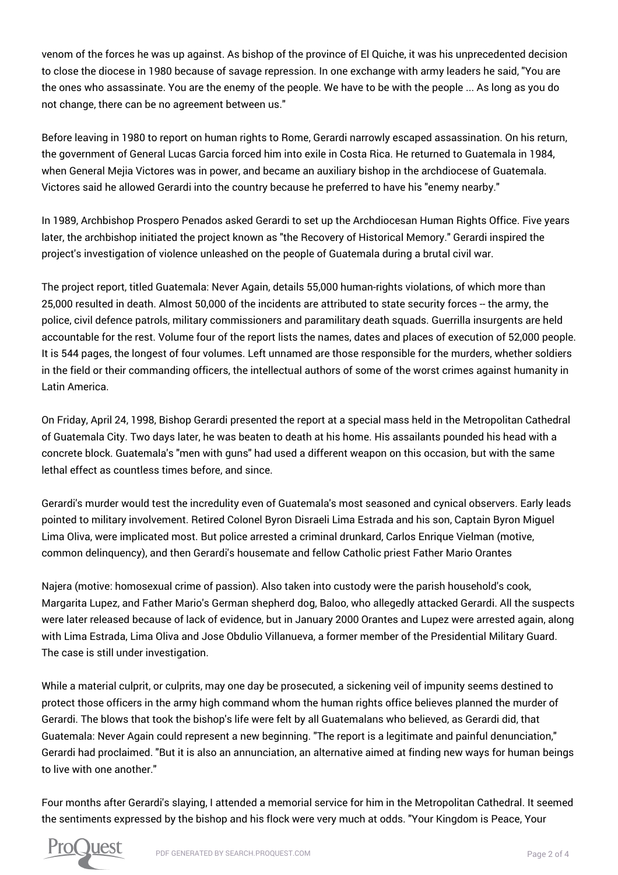venom of the forces he was up against. As bishop of the province of El Quiche, it was his unprecedented decision to close the diocese in 1980 because of savage repression. In one exchange with army leaders he said, "You are the ones who assassinate. You are the enemy of the people. We have to be with the people ... As long as you do not change, there can be no agreement between us."

Before leaving in 1980 to report on human rights to Rome, Gerardi narrowly escaped assassination. On his return, the government of General Lucas Garcia forced him into exile in Costa Rica. He returned to Guatemala in 1984, when General Mejia Victores was in power, and became an auxiliary bishop in the archdiocese of Guatemala. Victores said he allowed Gerardi into the country because he preferred to have his "enemy nearby."

In 1989, Archbishop Prospero Penados asked Gerardi to set up the Archdiocesan Human Rights Office. Five years later, the archbishop initiated the project known as "the Recovery of Historical Memory." Gerardi inspired the project's investigation of violence unleashed on the people of Guatemala during a brutal civil war.

The project report, titled Guatemala: Never Again, details 55,000 human-rights violations, of which more than 25,000 resulted in death. Almost 50,000 of the incidents are attributed to state security forces -- the army, the police, civil defence patrols, military commissioners and paramilitary death squads. Guerrilla insurgents are held accountable for the rest. Volume four of the report lists the names, dates and places of execution of 52,000 people. It is 544 pages, the longest of four volumes. Left unnamed are those responsible for the murders, whether soldiers in the field or their commanding officers, the intellectual authors of some of the worst crimes against humanity in Latin America.

On Friday, April 24, 1998, Bishop Gerardi presented the report at a special mass held in the Metropolitan Cathedral of Guatemala City. Two days later, he was beaten to death at his home. His assailants pounded his head with a concrete block. Guatemala's "men with guns" had used a different weapon on this occasion, but with the same lethal effect as countless times before, and since.

Gerardi's murder would test the incredulity even of Guatemala's most seasoned and cynical observers. Early leads pointed to military involvement. Retired Colonel Byron Disraeli Lima Estrada and his son, Captain Byron Miguel Lima Oliva, were implicated most. But police arrested a criminal drunkard, Carlos Enrique Vielman (motive, common delinquency), and then Gerardi's housemate and fellow Catholic priest Father Mario Orantes

Najera (motive: homosexual crime of passion). Also taken into custody were the parish household's cook, Margarita Lupez, and Father Mario's German shepherd dog, Baloo, who allegedly attacked Gerardi. All the suspects were later released because of lack of evidence, but in January 2000 Orantes and Lupez were arrested again, along with Lima Estrada, Lima Oliva and Jose Obdulio Villanueva, a former member of the Presidential Military Guard. The case is still under investigation.

While a material culprit, or culprits, may one day be prosecuted, a sickening veil of impunity seems destined to protect those officers in the army high command whom the human rights office believes planned the murder of Gerardi. The blows that took the bishop's life were felt by all Guatemalans who believed, as Gerardi did, that Guatemala: Never Again could represent a new beginning. "The report is a legitimate and painful denunciation," Gerardi had proclaimed. "But it is also an annunciation, an alternative aimed at finding new ways for human beings to live with one another."

Four months after Gerardi's slaying, I attended a memorial service for him in the Metropolitan Cathedral. It seemed the sentiments expressed by the bishop and his flock were very much at odds. "Your Kingdom is Peace, Your

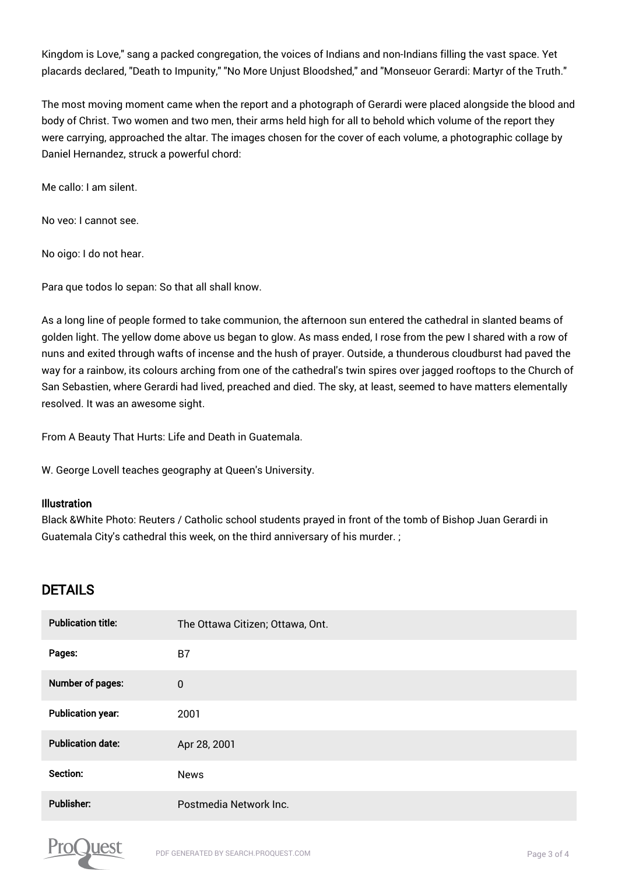Kingdom is Love," sang a packed congregation, the voices of Indians and non-Indians filling the vast space. Yet placards declared, "Death to Impunity," "No More Unjust Bloodshed," and "Monseuor Gerardi: Martyr of the Truth."

The most moving moment came when the report and a photograph of Gerardi were placed alongside the blood and body of Christ. Two women and two men, their arms held high for all to behold which volume of the report they were carrying, approached the altar. The images chosen for the cover of each volume, a photographic collage by Daniel Hernandez, struck a powerful chord:

Me callo: I am silent.

No veo: I cannot see.

No oigo: I do not hear.

Para que todos lo sepan: So that all shall know.

As a long line of people formed to take communion, the afternoon sun entered the cathedral in slanted beams of golden light. The yellow dome above us began to glow. As mass ended, I rose from the pew I shared with a row of nuns and exited through wafts of incense and the hush of prayer. Outside, a thunderous cloudburst had paved the way for a rainbow, its colours arching from one of the cathedral's twin spires over jagged rooftops to the Church of San Sebastien, where Gerardi had lived, preached and died. The sky, at least, seemed to have matters elementally resolved. It was an awesome sight.

From A Beauty That Hurts: Life and Death in Guatemala.

W. George Lovell teaches geography at Queen's University.

#### Illustration

Black &White Photo: Reuters / Catholic school students prayed in front of the tomb of Bishop Juan Gerardi in Guatemala City's cathedral this week, on the third anniversary of his murder. ;

### DETAILS

| <b>Publication title:</b> | The Ottawa Citizen; Ottawa, Ont. |
|---------------------------|----------------------------------|
| Pages:                    | B7                               |
| Number of pages:          | $\bf{0}$                         |
| <b>Publication year:</b>  | 2001                             |
| <b>Publication date:</b>  | Apr 28, 2001                     |
| Section:                  | <b>News</b>                      |
| Publisher:                | Postmedia Network Inc.           |